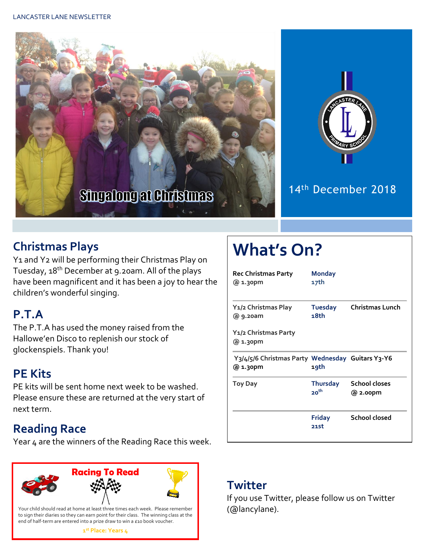



#### 14th December 2018

#### **Christmas Plays**

Y1 and Y2 will be performing their Christmas Play on Tuesday, 18th December at 9.20am. All of the plays have been magnificent and it has been a joy to hear the children's wonderful singing.

## **P.T.A**

The P.T.A has used the money raised from the Hallowe'en Disco to replenish our stock of glockenspiels. Thank you!

## **PE Kits**

PE kits will be sent home next week to be washed. Please ensure these are returned at the very start of next term.

## **Reading Race**

Year 4 are the winners of the Reading Race this week.



to sign their diaries so they can earn point for their class. The winning class at the end of half-term are entered into a prize draw to win a £10 book voucher.

#### **1 st Place: Years 4**

# **What's On?**

| <b>Rec Christmas Party</b><br>@ 1.30pm                                                 | <b>Monday</b><br>17th               |                                  |
|----------------------------------------------------------------------------------------|-------------------------------------|----------------------------------|
| Y1/2 Christmas Play<br>@ 9.20am                                                        | <b>Tuesday</b><br>18th              | <b>Christmas Lunch</b>           |
| Y1/2 Christmas Party<br>@ 1.30pm                                                       |                                     |                                  |
| Y <sub>3</sub> /4/5/6 Christmas Party Wednesday Guitars Y <sub>3</sub> -Y6<br>@ 1.30pm | 19th                                |                                  |
| Toy Day                                                                                | <b>Thursday</b><br>20 <sup>th</sup> | <b>School closes</b><br>@ 2.00pm |
|                                                                                        | <b>Friday</b><br>21st               | <b>School closed</b>             |

#### **Twitter**

If you use Twitter, please follow us on Twitter (@lancylane).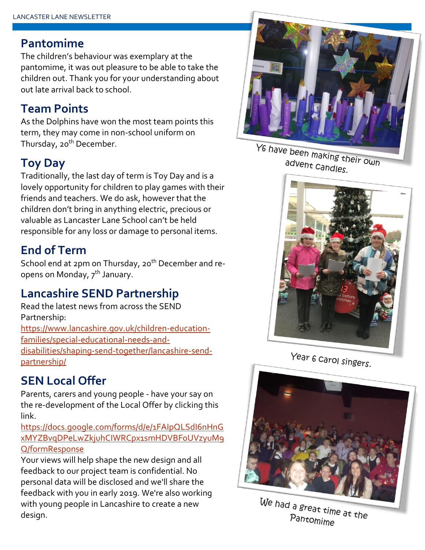#### **Pantomime**

The children's behaviour was exemplary at the pantomime, it was out pleasure to be able to take the children out. Thank you for your understanding about out late arrival back to school.

#### **Team Points**

As the Dolphins have won the most team points this term, they may come in non-school uniform on Thursday, 20<sup>th</sup> December.

## **Toy Day**

Traditionally, the last day of term is Toy Day and is a lovely opportunity for children to play games with their friends and teachers. We do ask, however that the children don't bring in anything electric, precious or valuable as Lancaster Lane School can't be held responsible for any loss or damage to personal items.

### **End of Term**

School end at 2pm on Thursday, 20<sup>th</sup> December and reopens on Monday, 7<sup>th</sup> January.

#### **Lancashire SEND Partnership**

Read the latest news from across the SEND Partnership: [https://www.lancashire.gov.uk/children-education](https://www.lancashire.gov.uk/children-education-families/special-educational-needs-and-disabilities/shaping-send-together/lancashire-send-partnership/)[families/special-educational-needs-and](https://www.lancashire.gov.uk/children-education-families/special-educational-needs-and-disabilities/shaping-send-together/lancashire-send-partnership/)[disabilities/shaping-send-together/lancashire-send](https://www.lancashire.gov.uk/children-education-families/special-educational-needs-and-disabilities/shaping-send-together/lancashire-send-partnership/)[partnership/](https://www.lancashire.gov.uk/children-education-families/special-educational-needs-and-disabilities/shaping-send-together/lancashire-send-partnership/)

#### **SEN Local Offer**

Parents, carers and young people - have your say on the re-development of the Local Offer by clicking this link.

[https://docs.google.com/forms/d/e/1FAIpQLSdI6nHnG](https://docs.google.com/forms/d/e/1FAIpQLSdI6nHnGxMYZBvqDPeLwZkjuhCIWRCpx1smHDVBF0UVzyuM9Q/formResponse) [xMYZBvqDPeLwZkjuhCIWRCpx1smHDVBF0UVzyuM9](https://docs.google.com/forms/d/e/1FAIpQLSdI6nHnGxMYZBvqDPeLwZkjuhCIWRCpx1smHDVBF0UVzyuM9Q/formResponse) [Q/formResponse](https://docs.google.com/forms/d/e/1FAIpQLSdI6nHnGxMYZBvqDPeLwZkjuhCIWRCpx1smHDVBF0UVzyuM9Q/formResponse)

Your views will help shape the new design and all feedback to our project team is confidential. No personal data will be disclosed and we'll share the feedback with you in early 2019. We're also working with young people in Lancashire to create a new design.



Y6 have been making their own advent candles.







We had a great time at the Pantomime